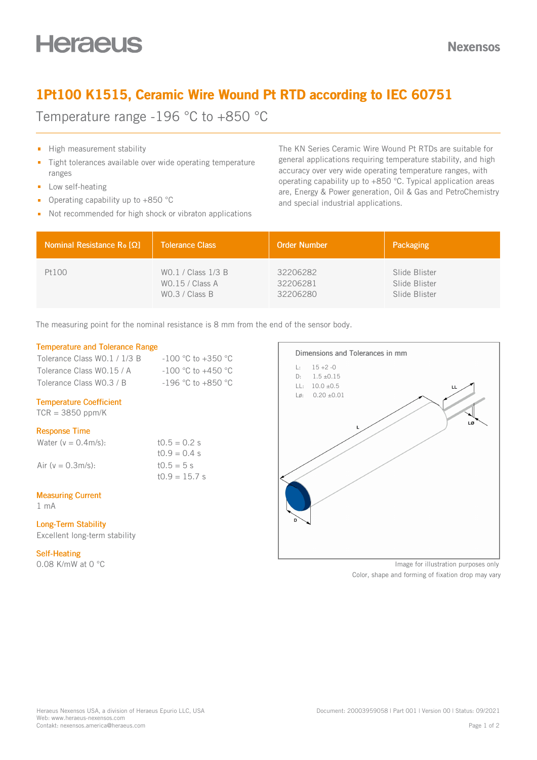## 1Pt100 K1515, Ceramic Wire Wound Pt RTD according to IEC 60751

Temperature range -196 °C to +850 °C

- High measurement stability
- Tight tolerances available over wide operating temperature  $\blacksquare$ ranges
- **Low self-heating**
- Operating capability up to +850 °C  $\mathbf{r}$
- Not recommended for high shock or vibraton applications

The KN Series Ceramic Wire Wound Pt RTDs are suitable for general applications requiring temperature stability, and high accuracy over very wide operating temperature ranges, with operating capability up to +850 °C. Typical application areas are, Energy & Power generation, Oil & Gas and PetroChemistry and special industrial applications.

| Nominal Resistance R <sub>o</sub> [Ω] | <b>Tolerance Class</b> | <b>Order Number</b> | Packaging     |
|---------------------------------------|------------------------|---------------------|---------------|
| Pt100                                 | WO.1 / Class 1/3 B     | 32206282            | Slide Blister |
|                                       | WO.15 / Class A        | 32206281            | Slide Blister |
|                                       | WO.3 / Class B         | 32206280            | Slide Blister |

The measuring point for the nominal resistance is 8 mm from the end of the sensor body.

### Temperature and Tolerance Range

| Tolerance Class WO.1 / 1/3 B | $-100$ °C to $+350$ °C |
|------------------------------|------------------------|
| Tolerance Class WO.15 / A    | $-100$ °C to $+450$ °C |
| Tolerance Class WO.3 / B     | $-196$ °C to $+850$ °C |

### Temperature Coefficient

 $TCR = 3850$  ppm/K

### Response Time

| Water ( $v = 0.4$ m/s): | $10.5 = 0.2$ s  |
|-------------------------|-----------------|
|                         | $10.9 = 0.4$ s  |
| Air (y = 0.3m/s):       | $10.5 = 5 s$    |
|                         | $10.9 = 15.7$ s |

### Measuring Current

1 mA

### Long-Term Stability Excellent long-term stability

#### Self-Heating

0.08 K/mW at 0 °C



Image for illustration purposes only

Color, shape and forming of fixation drop may vary